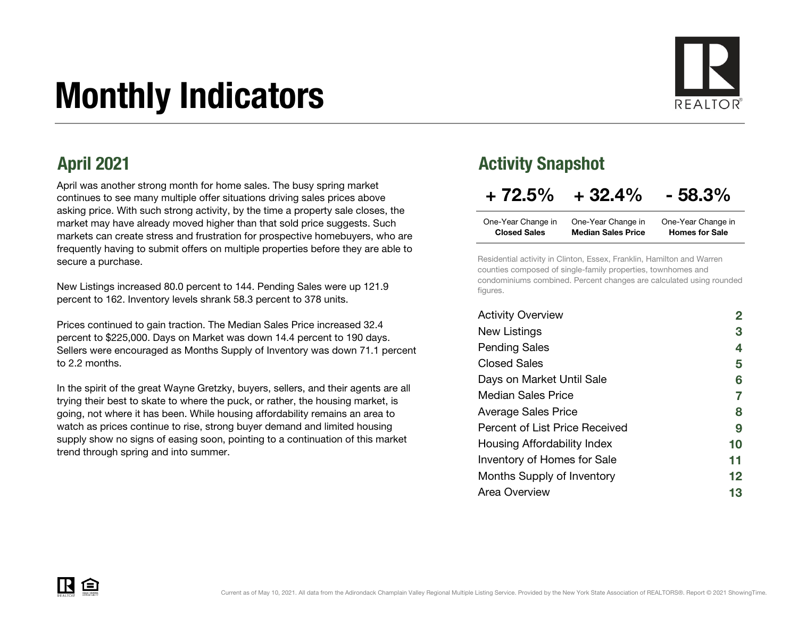# Monthly Indicators



April was another strong month for home sales. The busy spring market continues to see many multiple offer situations driving sales prices above asking price. With such strong activity, by the time a property sale closes, the market may have already moved higher than that sold price suggests. Such markets can create stress and frustration for prospective homebuyers, who are frequently having to submit offers on multiple properties before they are able to secure a purchase.

New Listings increased 80.0 percent to 144. Pending Sales were up 121.9 percent to 162. Inventory levels shrank 58.3 percent to 378 units.

Prices continued to gain traction. The Median Sales Price increased 32.4 percent to \$225,000. Days on Market was down 14.4 percent to 190 days. Sellers were encouraged as Months Supply of Inventory was down 71.1 percent to 2.2 months.

In the spirit of the great Wayne Gretzky, buyers, sellers, and their agents are all trying their best to skate to where the puck, or rather, the housing market, is going, not where it has been. While housing affordability remains an area to watch as prices continue to rise, strong buyer demand and limited housing supply show no signs of easing soon, pointing to a continuation of this market trend through spring and into summer.

#### April 2021 **Activity Snapshot**

### $+ 72.5\% + 32.4\% - 58.3\%$

| One-Year Change in  | One-Year Change in        | One-Year Change in    |
|---------------------|---------------------------|-----------------------|
| <b>Closed Sales</b> | <b>Median Sales Price</b> | <b>Homes for Sale</b> |

Residential activity in Clinton, Essex, Franklin, Hamilton and Warren counties composed of single-family properties, townhomes and condominiums combined. Percent changes are calculated using rounded figures.

| <b>Activity Overview</b>           |    |
|------------------------------------|----|
| New Listings                       | З  |
| <b>Pending Sales</b>               | 4  |
| <b>Closed Sales</b>                | 5  |
| Days on Market Until Sale          | 6  |
| <b>Median Sales Price</b>          | 7  |
| <b>Average Sales Price</b>         | 8  |
| Percent of List Price Received     | 9  |
| Housing Affordability Index        | 10 |
| <b>Inventory of Homes for Sale</b> | 11 |
| Months Supply of Inventory         | 12 |
| Area Overview                      | 13 |

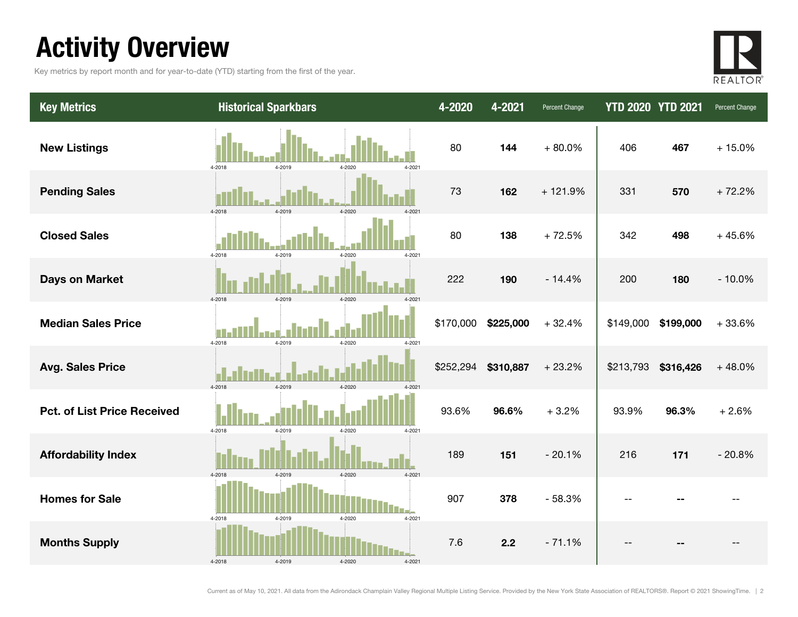### Activity Overview

Key metrics by report month and for year-to-date (YTD) starting from the first of the year.



| <b>Key Metrics</b>                 | <b>Historical Sparkbars</b>                 | 4-2020    | 4-2021    | Percent Change | <b>YTD 2020 YTD 2021</b> |           | Percent Change |
|------------------------------------|---------------------------------------------|-----------|-----------|----------------|--------------------------|-----------|----------------|
| <b>New Listings</b>                | 4-2018<br>4-2019<br>4-2020<br>4-2021        | 80        | 144       | $+80.0%$       | 406                      | 467       | $+15.0%$       |
| <b>Pending Sales</b>               | 4-2019<br>4-2018<br>4-2020                  | 73        | 162       | $+121.9%$      | 331                      | 570       | $+72.2%$       |
| <b>Closed Sales</b>                | 4-2018<br>4-2019<br>4-2021<br>4-2020        | 80        | 138       | $+72.5%$       | 342                      | 498       | $+45.6%$       |
| <b>Days on Market</b>              | 4-2019<br>4-2018<br>4-2020                  | 222       | 190       | $-14.4%$       | 200                      | 180       | $-10.0%$       |
| <b>Median Sales Price</b>          | 4-2019<br>4-2018<br>4-2020<br>4-2021        | \$170,000 | \$225,000 | $+32.4%$       | \$149,000                | \$199,000 | $+33.6%$       |
| <b>Avg. Sales Price</b>            | $4 - 2018$<br>4-2019<br>4-2020<br>$4 - 202$ | \$252,294 | \$310,887 | $+23.2%$       | \$213,793                | \$316,426 | $+48.0%$       |
| <b>Pct. of List Price Received</b> | 4-2018<br>4-2019<br>4-2021<br>4-2020        | 93.6%     | 96.6%     | $+3.2%$        | 93.9%                    | 96.3%     | $+2.6%$        |
| <b>Affordability Index</b>         | 4-2020<br>4-2018<br>4-2019<br>4-2021        | 189       | 151       | $-20.1%$       | 216                      | 171       | $-20.8%$       |
| <b>Homes for Sale</b>              | 4-2018<br>4-2019<br>4-2020<br>4-2021        | 907       | 378       | $-58.3%$       | $\overline{\phantom{a}}$ |           |                |
| <b>Months Supply</b>               | 4-2018<br>4-2019<br>4-2020<br>4-2021        | 7.6       | 2.2       | $-71.1%$       |                          |           |                |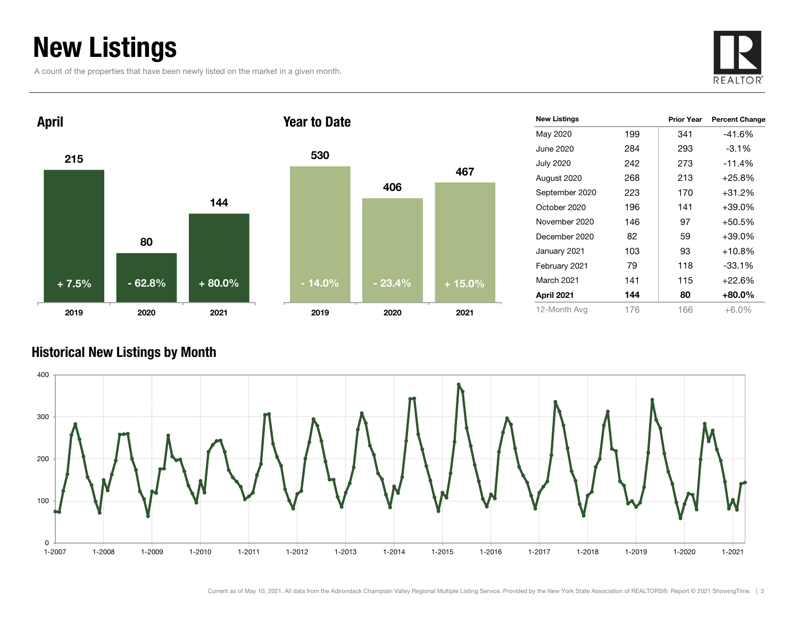### New Listings

A count of the properties that have been newly listed on the market in a given month.





| <b>New Listings</b> |     | <b>Prior Year</b> | <b>Percent Change</b> |
|---------------------|-----|-------------------|-----------------------|
| May 2020            | 199 | 341               | $-41.6%$              |
| June 2020           | 284 | 293               | $-3.1%$               |
| <b>July 2020</b>    | 242 | 273               | $-11.4%$              |
| August 2020         | 268 | 213               | $+25.8%$              |
| September 2020      | 223 | 170               | +31.2%                |
| October 2020        | 196 | 141               | +39.0%                |
| November 2020       | 146 | 97                | +50.5%                |
| December 2020       | 82  | 59                | +39.0%                |
| January 2021        | 103 | 93                | $+10.8%$              |
| February 2021       | 79  | 118               | $-33.1%$              |
| March 2021          | 141 | 115               | $+22.6%$              |
| April 2021          | 144 | 80                | +80.0%                |
| 12-Month Avg        | 176 | 166               | $+6.0\%$              |

#### Historical New Listings by Month

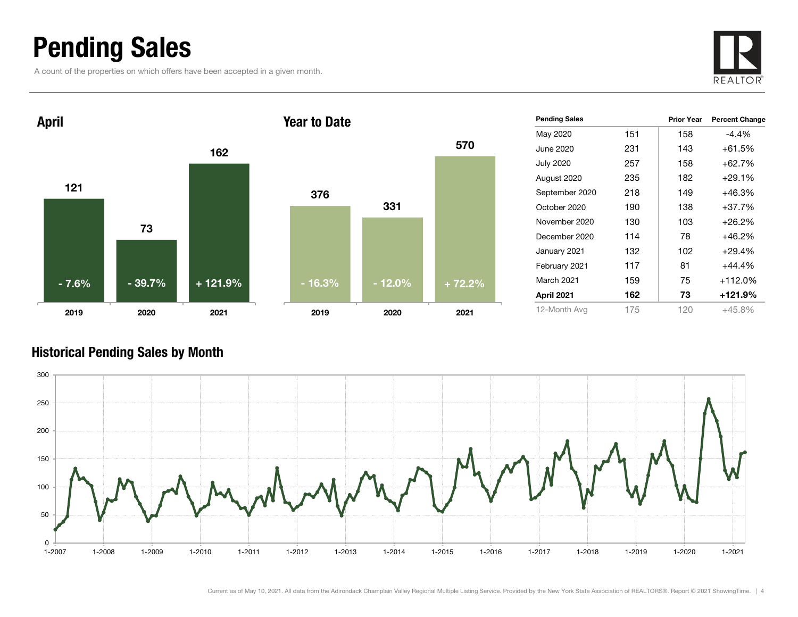### Pending Sales

A count of the properties on which offers have been accepted in a given month.





| <b>Pending Sales</b> |     | <b>Prior Year</b> | <b>Percent Change</b> |
|----------------------|-----|-------------------|-----------------------|
| May 2020             | 151 | 158               | -4.4%                 |
| June 2020            | 231 | 143               | $+61.5%$              |
| <b>July 2020</b>     | 257 | 158               | $+62.7%$              |
| August 2020          | 235 | 182               | $+29.1%$              |
| September 2020       | 218 | 149               | $+46.3%$              |
| October 2020         | 190 | 138               | $+37.7%$              |
| November 2020        | 130 | 103               | $+26.2%$              |
| December 2020        | 114 | 78                | $+46.2%$              |
| January 2021         | 132 | 102               | $+29.4%$              |
| February 2021        | 117 | 81                | $+44.4%$              |
| March 2021           | 159 | 75                | $+112.0%$             |
| April 2021           | 162 | 73                | +121.9%               |
| 12-Month Avg         | 175 | 120               | $+45.8%$              |

#### Historical Pending Sales by Month

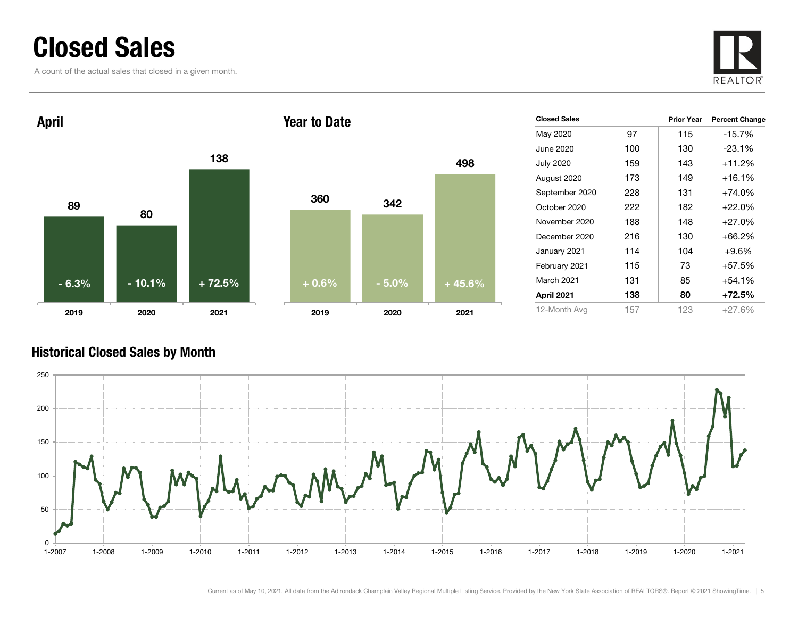### Closed Sales

A count of the actual sales that closed in a given month.





| <b>Closed Sales</b> |      | <b>Prior Year</b> | <b>Percent Change</b> |
|---------------------|------|-------------------|-----------------------|
| May 2020            | 97   | 115               | $-15.7%$              |
| June 2020           | 100  | 130               | $-23.1%$              |
| <b>July 2020</b>    | 159  | 143               | $+11.2%$              |
| August 2020         | 173  | 149               | +16.1%                |
| September 2020      | 228  | 131               | $+74.0%$              |
| October 2020        | 222. | 182               | $+22.0%$              |
| November 2020       | 188  | 148               | $+27.0%$              |
| December 2020       | 216  | 130               | +66.2%                |
| January 2021        | 114  | 104               | $+9.6%$               |
| February 2021       | 115  | 73                | $+57.5%$              |
| <b>March 2021</b>   | 131  | 85                | +54.1%                |
| April 2021          | 138  | 80                | +72.5%                |
| 12-Month Avg        | 157  | 123               | $+27.6\%$             |

#### Historical Closed Sales by Month

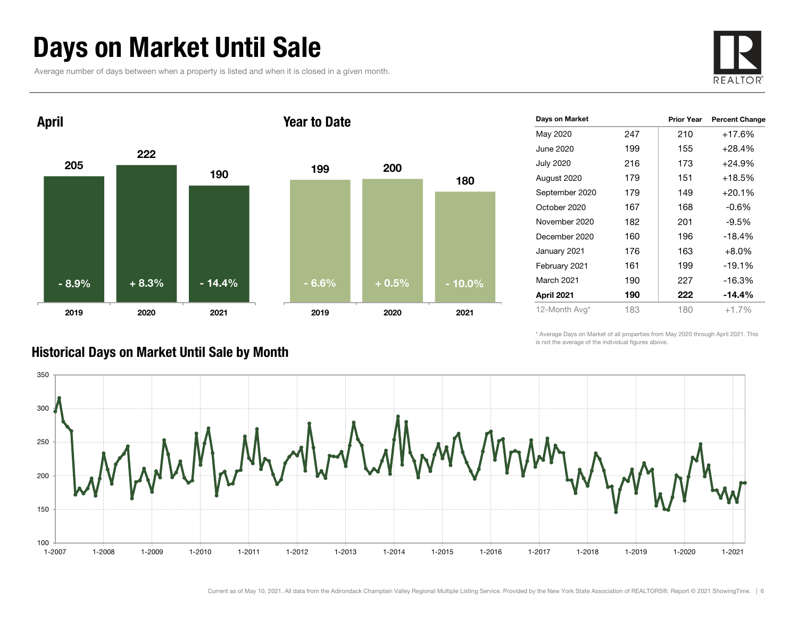### Days on Market Until Sale

Average number of days between when a property is listed and when it is closed in a given month.





| Days on Market   |     | <b>Prior Year</b> | <b>Percent Change</b> |
|------------------|-----|-------------------|-----------------------|
| May 2020         | 247 | 210               | $+17.6%$              |
| June 2020        | 199 | 155               | $+28.4%$              |
| <b>July 2020</b> | 216 | 173               | $+24.9%$              |
| August 2020      | 179 | 151               | $+18.5%$              |
| September 2020   | 179 | 149               | $+20.1%$              |
| October 2020     | 167 | 168               | $-0.6%$               |
| November 2020    | 182 | 201               | $-9.5%$               |
| December 2020    | 160 | 196               | $-18.4%$              |
| January 2021     | 176 | 163               | $+8.0%$               |
| February 2021    | 161 | 199               | $-19.1%$              |
| March 2021       | 190 | 227               | $-16.3%$              |
| April 2021       | 190 | 222               | $-14.4%$              |
| 12-Month Avg*    | 183 | 180               | $+1.7%$               |
|                  |     |                   |                       |

\* Average Days on Market of all properties from May 2020 through April 2021. This is not the average of the individual figures above.



#### Historical Days on Market Until Sale by Month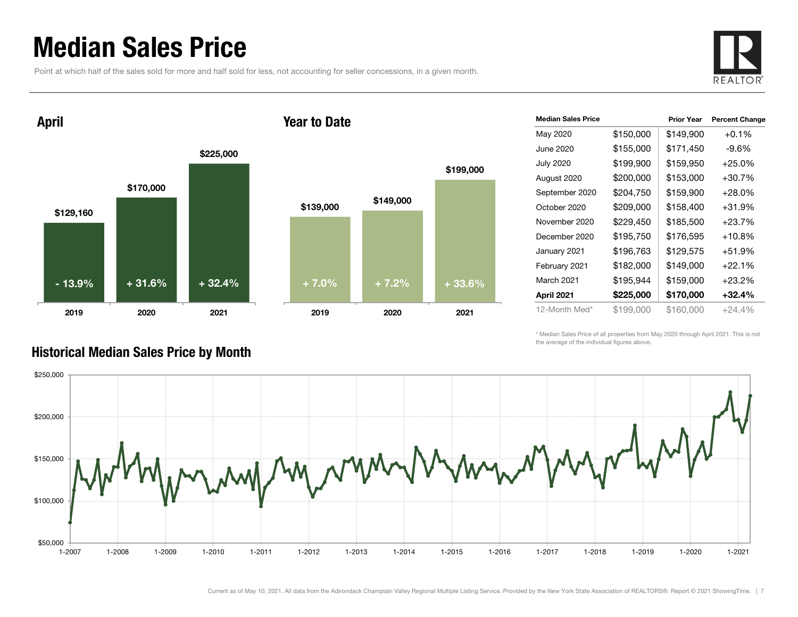### Median Sales Price

Point at which half of the sales sold for more and half sold for less, not accounting for seller concessions, in a given month.



April





| <b>Median Sales Price</b> |           | <b>Prior Year</b> | <b>Percent Change</b> |
|---------------------------|-----------|-------------------|-----------------------|
| May 2020                  | \$150,000 | \$149,900         | $+0.1%$               |
| June 2020                 | \$155,000 | \$171,450         | -9.6%                 |
| <b>July 2020</b>          | \$199,900 | \$159,950         | $+25.0%$              |
| August 2020               | \$200,000 | \$153,000         | $+30.7%$              |
| September 2020            | \$204,750 | \$159,900         | $+28.0\%$             |
| October 2020              | \$209,000 | \$158,400         | $+31.9%$              |
| November 2020             | \$229,450 | \$185,500         | $+23.7%$              |
| December 2020             | \$195,750 | \$176,595         | $+10.8\%$             |
| January 2021              | \$196,763 | \$129,575         | $+51.9%$              |
| February 2021             | \$182,000 | \$149,000         | $+22.1%$              |
| March 2021                | \$195,944 | \$159,000         | $+23.2\%$             |
| April 2021                | \$225,000 | \$170,000         | $+32.4%$              |
| 12-Month Med*             | \$199,000 | \$160,000         | $+24.4%$              |

\* Median Sales Price of all properties from May 2020 through April 2021. This is not the average of the individual figures above.



#### Historical Median Sales Price by Month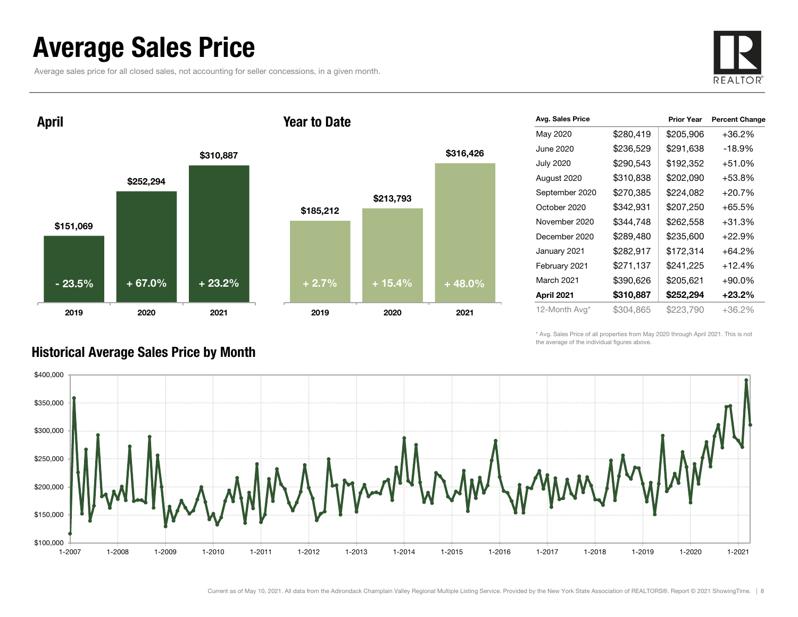### Average Sales Price

Average sales price for all closed sales, not accounting for seller concessions, in a given month.



April





| Avg. Sales Price |           | <b>Prior Year</b> | <b>Percent Change</b> |
|------------------|-----------|-------------------|-----------------------|
| May 2020         | \$280,419 | \$205,906         | $+36.2%$              |
| June 2020        | \$236,529 | \$291,638         | -18.9%                |
| <b>July 2020</b> | \$290,543 | \$192,352         | $+51.0%$              |
| August 2020      | \$310,838 | \$202,090         | $+53.8%$              |
| September 2020   | \$270,385 | \$224,082         | $+20.7%$              |
| October 2020     | \$342,931 | \$207,250         | $+65.5%$              |
| November 2020    | \$344,748 | \$262,558         | $+31.3%$              |
| December 2020    | \$289,480 | \$235,600         | $+22.9%$              |
| January 2021     | \$282,917 | \$172,314         | $+64.2%$              |
| February 2021    | \$271,137 | \$241,225         | $+12.4%$              |
| March 2021       | \$390,626 | \$205,621         | $+90.0\%$             |
| April 2021       | \$310,887 | \$252,294         | +23.2%                |
| 12-Month Avg*    | \$304,865 | \$223,790         | +36.2%                |

\* Avg. Sales Price of all properties from May 2020 through April 2021. This is not the average of the individual figures above.



#### Historical Average Sales Price by Month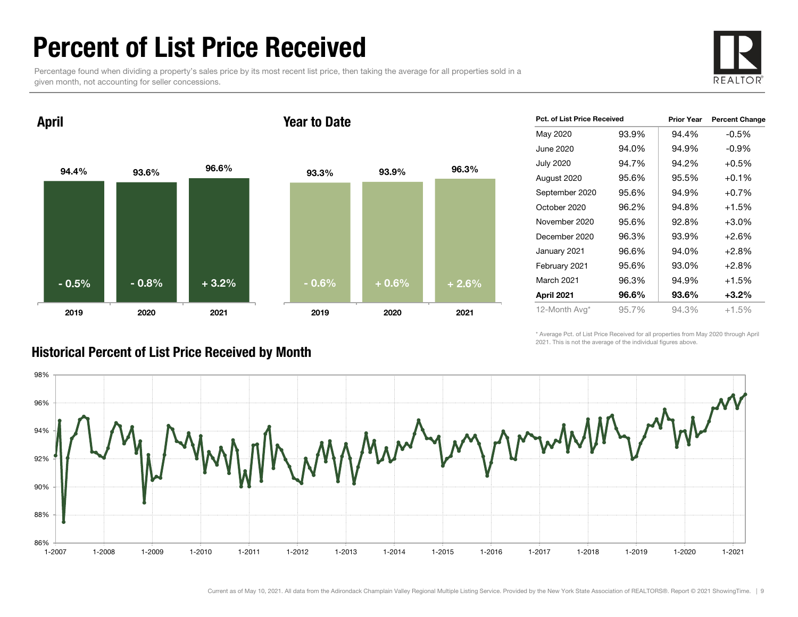### Percent of List Price Received

Percentage found when dividing a property's sales price by its most recent list price, then taking the average for all properties sold in a given month, not accounting for seller concessions.



94.4% 93.6% 96.6% 2019 2020 2021 April 93.3% 93.9% 96.3% 2019 2020 2021 Year to Date- 0.5% $\%$  | - 0.8% | + 3.2% | - 0.6% | + 0.6% | + 2.6%

| Pct. of List Price Received |       | <b>Prior Year</b> | <b>Percent Change</b> |
|-----------------------------|-------|-------------------|-----------------------|
| May 2020                    | 93.9% | 94.4%             | $-0.5\%$              |
| June 2020                   | 94.0% | 94.9%             | $-0.9%$               |
| July 2020                   | 94.7% | 94.2%             | $+0.5%$               |
| August 2020                 | 95.6% | 95.5%             | $+0.1%$               |
| September 2020              | 95.6% | 94.9%             | $+0.7%$               |
| October 2020                | 96.2% | 94.8%             | $+1.5%$               |
| November 2020               | 95.6% | 92.8%             | $+3.0%$               |
| December 2020               | 96.3% | 93.9%             | $+2.6%$               |
| January 2021                | 96.6% | 94.0%             | $+2.8%$               |
| February 2021               | 95.6% | 93.0%             | $+2.8%$               |
| March 2021                  | 96.3% | 94.9%             | $+1.5%$               |
| April 2021                  | 96.6% | 93.6%             | $+3.2%$               |
| 12-Month Avg*               | 95.7% | 94.3%             | $+1.5%$               |

\* Average Pct. of List Price Received for all properties from May 2020 through April 2021. This is not the average of the individual figures above.



#### Historical Percent of List Price Received by Month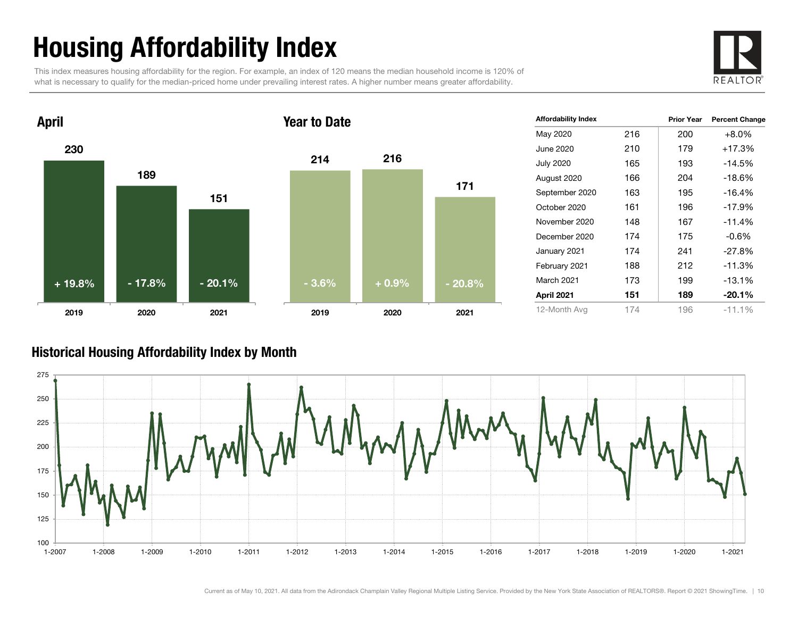## Housing Affordability Index

This index measures housing affordability for the region. For example, an index of 120 means the median household income is 120% of what is necessary to qualify for the median-priced home under prevailing interest rates. A higher number means greater affordability.





| <b>Affordability Index</b> |     | <b>Prior Year</b> | <b>Percent Change</b> |
|----------------------------|-----|-------------------|-----------------------|
| May 2020                   | 216 | 200               | $+8.0%$               |
| June 2020                  | 210 | 179               | $+17.3%$              |
| <b>July 2020</b>           | 165 | 193               | $-14.5%$              |
| August 2020                | 166 | 204               | $-18.6%$              |
| September 2020             | 163 | 195               | $-16.4%$              |
| October 2020               | 161 | 196               | $-17.9%$              |
| November 2020              | 148 | 167               | $-11.4%$              |
| December 2020              | 174 | 175               | $-0.6%$               |
| January 2021               | 174 | 241               | $-27.8%$              |
| February 2021              | 188 | 212               | $-11.3%$              |
| <b>March 2021</b>          | 173 | 199               | -13.1%                |
| April 2021                 | 151 | 189               | $-20.1%$              |
| 12-Month Avg               | 174 | 196               | $-11.1%$              |

#### Historical Housing Affordability Index by Mont h

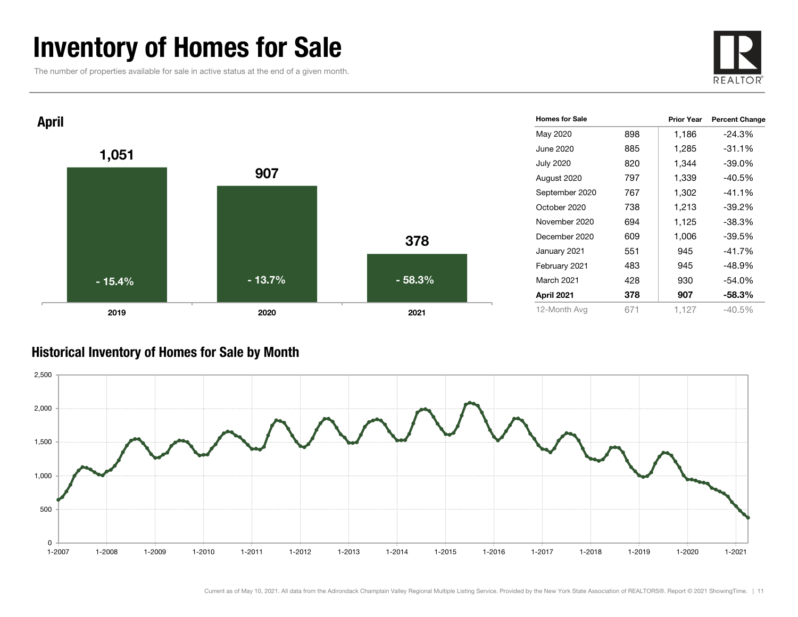### Inventory of Homes for Sale

The number of properties available for sale in active status at the end of a given month.





#### Historical Inventory of Homes for Sale by Month

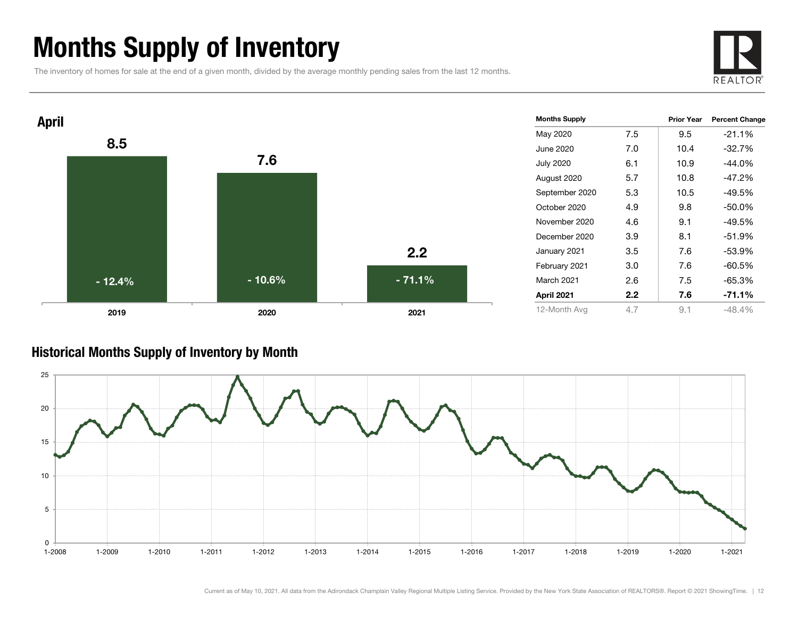### Months Supply of Inventory

The inventory of homes for sale at the end of a given month, divided by the average monthly pending sales from the last 12 months.





#### Historical Months Supply of Inventory by Month